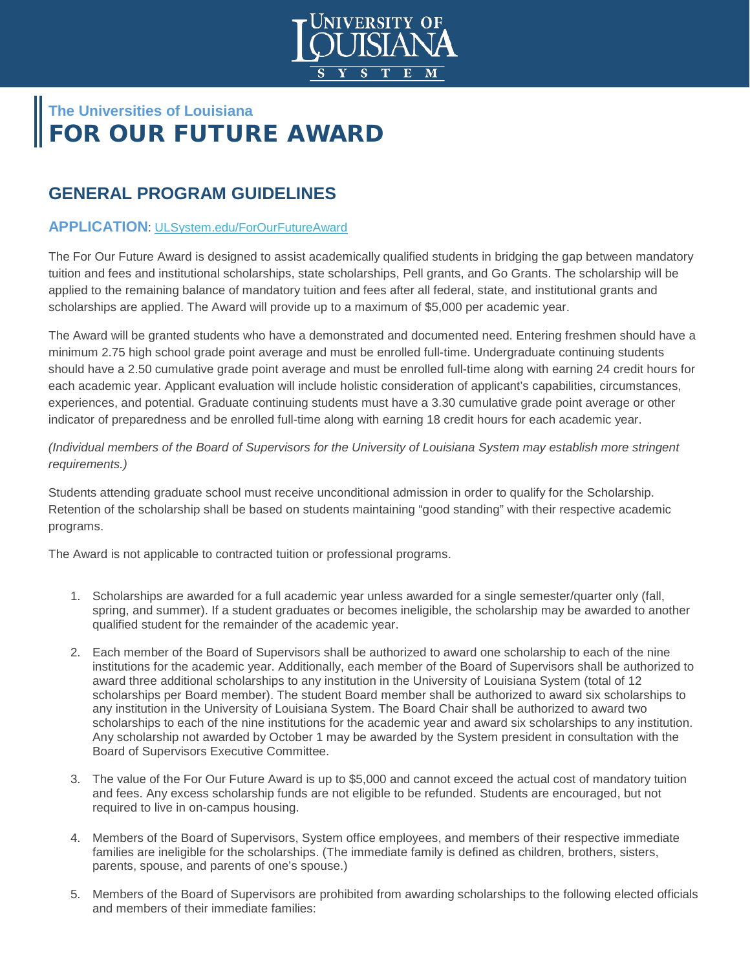

# **The Universities of Louisiana** FOR OUR FUTURE AWARD

## **GENERAL PROGRAM GUIDELINES**

### **APPLICATION**: [ULSystem.edu/ForOurFutureAward](http://www.ulsystem.edu/ForOurFutureAward)

The For Our Future Award is designed to assist academically qualified students in bridging the gap between mandatory tuition and fees and institutional scholarships, state scholarships, Pell grants, and Go Grants. The scholarship will be applied to the remaining balance of mandatory tuition and fees after all federal, state, and institutional grants and scholarships are applied. The Award will provide up to a maximum of \$5,000 per academic year.

The Award will be granted students who have a demonstrated and documented need. Entering freshmen should have a minimum 2.75 high school grade point average and must be enrolled full-time. Undergraduate continuing students should have a 2.50 cumulative grade point average and must be enrolled full-time along with earning 24 credit hours for each academic year. Applicant evaluation will include holistic consideration of applicant's capabilities, circumstances, experiences, and potential. Graduate continuing students must have a 3.30 cumulative grade point average or other indicator of preparedness and be enrolled full-time along with earning 18 credit hours for each academic year.

*(Individual members of the Board of Supervisors for the University of Louisiana System may establish more stringent requirements.)*

Students attending graduate school must receive unconditional admission in order to qualify for the Scholarship. Retention of the scholarship shall be based on students maintaining "good standing" with their respective academic programs.

The Award is not applicable to contracted tuition or professional programs.

- 1. Scholarships are awarded for a full academic year unless awarded for a single semester/quarter only (fall, spring, and summer). If a student graduates or becomes ineligible, the scholarship may be awarded to another qualified student for the remainder of the academic year.
- 2. Each member of the Board of Supervisors shall be authorized to award one scholarship to each of the nine institutions for the academic year. Additionally, each member of the Board of Supervisors shall be authorized to award three additional scholarships to any institution in the University of Louisiana System (total of 12 scholarships per Board member). The student Board member shall be authorized to award six scholarships to any institution in the University of Louisiana System. The Board Chair shall be authorized to award two scholarships to each of the nine institutions for the academic year and award six scholarships to any institution. Any scholarship not awarded by October 1 may be awarded by the System president in consultation with the Board of Supervisors Executive Committee.
- 3. The value of the For Our Future Award is up to \$5,000 and cannot exceed the actual cost of mandatory tuition and fees. Any excess scholarship funds are not eligible to be refunded. Students are encouraged, but not required to live in on-campus housing.
- 4. Members of the Board of Supervisors, System office employees, and members of their respective immediate families are ineligible for the scholarships. (The immediate family is defined as children, brothers, sisters, parents, spouse, and parents of one's spouse.)
- 5. Members of the Board of Supervisors are prohibited from awarding scholarships to the following elected officials and members of their immediate families: